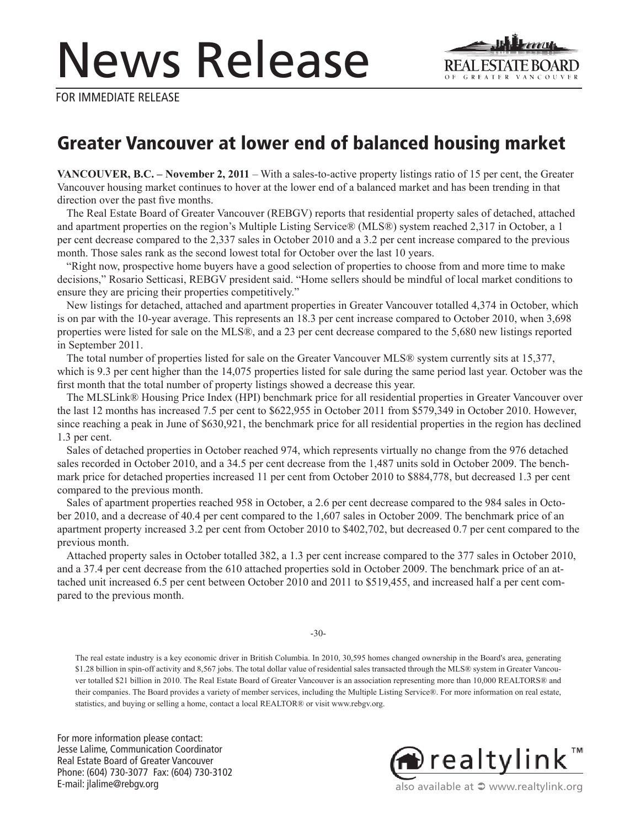# News Release



FOR IMMEDIATE RELEASE

## Greater Vancouver at lower end of balanced housing market

**VANCOUVER, B.C. – November 2, 2011** – With a sales-to-active property listings ratio of 15 per cent, the Greater Vancouver housing market continues to hover at the lower end of a balanced market and has been trending in that direction over the past five months.

The Real Estate Board of Greater Vancouver (REBGV) reports that residential property sales of detached, attached and apartment properties on the region's Multiple Listing Service® (MLS®) system reached 2,317 in October, a 1 per cent decrease compared to the 2,337 sales in October 2010 and a 3.2 per cent increase compared to the previous month. Those sales rank as the second lowest total for October over the last 10 years.

"Right now, prospective home buyers have a good selection of properties to choose from and more time to make decisions," Rosario Setticasi, REBGV president said. "Home sellers should be mindful of local market conditions to ensure they are pricing their properties competitively."

New listings for detached, attached and apartment properties in Greater Vancouver totalled 4,374 in October, which is on par with the 10-year average. This represents an 18.3 per cent increase compared to October 2010, when 3,698 properties were listed for sale on the MLS®, and a 23 per cent decrease compared to the 5,680 new listings reported in September 2011.

The total number of properties listed for sale on the Greater Vancouver MLS® system currently sits at 15,377, which is 9.3 per cent higher than the 14,075 properties listed for sale during the same period last year. October was the first month that the total number of property listings showed a decrease this year.

The MLSLink® Housing Price Index (HPI) benchmark price for all residential properties in Greater Vancouver over the last 12 months has increased 7.5 per cent to \$622,955 in October 2011 from \$579,349 in October 2010. However, since reaching a peak in June of \$630,921, the benchmark price for all residential properties in the region has declined 1.3 per cent.

Sales of detached properties in October reached 974, which represents virtually no change from the 976 detached sales recorded in October 2010, and a 34.5 per cent decrease from the 1,487 units sold in October 2009. The benchmark price for detached properties increased 11 per cent from October 2010 to \$884,778, but decreased 1.3 per cent compared to the previous month.

Sales of apartment properties reached 958 in October, a 2.6 per cent decrease compared to the 984 sales in October 2010, and a decrease of 40.4 per cent compared to the 1,607 sales in October 2009. The benchmark price of an apartment property increased 3.2 per cent from October 2010 to \$402,702, but decreased 0.7 per cent compared to the previous month.

Attached property sales in October totalled 382, a 1.3 per cent increase compared to the 377 sales in October 2010, and a 37.4 per cent decrease from the 610 attached properties sold in October 2009. The benchmark price of an attached unit increased 6.5 per cent between October 2010 and 2011 to \$519,455, and increased half a per cent compared to the previous month.

-30-

The real estate industry is a key economic driver in British Columbia. In 2010, 30,595 homes changed ownership in the Board's area, generating \$1.28 billion in spin-off activity and 8,567 jobs. The total dollar value of residential sales transacted through the MLS® system in Greater Vancouver totalled \$21 billion in 2010. The Real Estate Board of Greater Vancouver is an association representing more than 10,000 REALTORS® and their companies. The Board provides a variety of member services, including the Multiple Listing Service®. For more information on real estate, statistics, and buying or selling a home, contact a local REALTOR® or visit www.rebgv.org.

For more information please contact: Jesse Lalime, Communication Coordinator Real Estate Board of Greater Vancouver Phone: (604) 730-3077 Fax: (604) 730-3102 E-mail: jlalime@rebgv.org



also available at  $\supseteq$  www.realtylink.org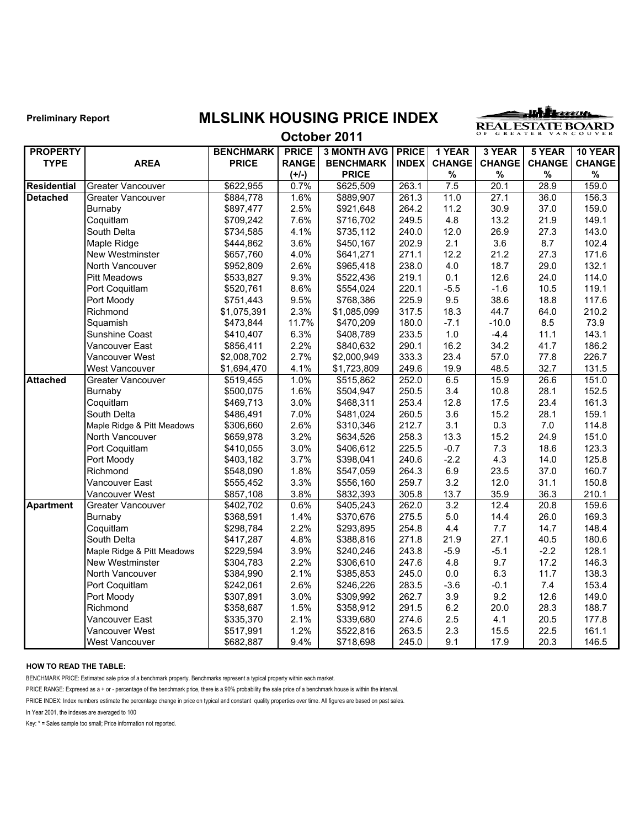### **Preliminary Report MLSLINK HOUSING PRICE INDEX**

<u>uhleccus</u> REAL ESTATE BOARD

#### **October 2011**

| <b>PROPERTY</b>    |                            | <b>BENCHMARK</b> | <b>PRICE</b> | <b>3 MONTH AVG</b> | <b>PRICE</b> | 1 YEAR        | 3 YEAR        | 5 YEAR        | 10 YEAR       |
|--------------------|----------------------------|------------------|--------------|--------------------|--------------|---------------|---------------|---------------|---------------|
| <b>TYPE</b>        | <b>AREA</b>                | <b>PRICE</b>     | <b>RANGE</b> | <b>BENCHMARK</b>   | <b>INDEX</b> | <b>CHANGE</b> | <b>CHANGE</b> | <b>CHANGE</b> | <b>CHANGE</b> |
|                    |                            |                  | $(+/-)$      | <b>PRICE</b>       |              | $\%$          | $\%$          | $\%$          | $\%$          |
| <b>Residential</b> | Greater Vancouver          | \$622,955        | 0.7%         | \$625,509          | 263.1        | 7.5           | 20.1          | 28.9          | 159.0         |
| <b>Detached</b>    | <b>Greater Vancouver</b>   | \$884,778        | 1.6%         | \$889,907          | 261.3        | 11.0          | 27.1          | 36.0          | 156.3         |
|                    | Burnaby                    | \$897,477        | 2.5%         | \$921,648          | 264.2        | 11.2          | 30.9          | 37.0          | 159.0         |
|                    | Coquitlam                  | \$709,242        | 7.6%         | \$716,702          | 249.5        | 4.8           | 13.2          | 21.9          | 149.1         |
|                    | South Delta                | \$734,585        | 4.1%         | \$735,112          | 240.0        | 12.0          | 26.9          | 27.3          | 143.0         |
|                    | Maple Ridge                | \$444,862        | 3.6%         | \$450,167          | 202.9        | 2.1           | 3.6           | 8.7           | 102.4         |
|                    | New Westminster            | \$657,760        | 4.0%         | \$641,271          | 271.1        | 12.2          | 21.2          | 27.3          | 171.6         |
|                    | North Vancouver            | \$952,809        | 2.6%         | \$965,418          | 238.0        | 4.0           | 18.7          | 29.0          | 132.1         |
|                    | <b>Pitt Meadows</b>        | \$533,827        | 9.3%         | \$522,436          | 219.1        | 0.1           | 12.6          | 24.0          | 114.0         |
|                    | Port Coquitlam             | \$520,761        | 8.6%         | \$554,024          | 220.1        | $-5.5$        | $-1.6$        | 10.5          | 119.1         |
|                    | Port Moody                 | \$751,443        | 9.5%         | \$768,386          | 225.9        | 9.5           | 38.6          | 18.8          | 117.6         |
|                    | Richmond                   | \$1,075,391      | 2.3%         | \$1,085,099        | 317.5        | 18.3          | 44.7          | 64.0          | 210.2         |
|                    | Squamish                   | \$473,844        | 11.7%        | \$470,209          | 180.0        | $-7.1$        | $-10.0$       | 8.5           | 73.9          |
|                    | Sunshine Coast             | \$410,407        | 6.3%         | \$408,789          | 233.5        | 1.0           | $-4.4$        | 11.1          | 143.1         |
|                    | Vancouver East             | \$856,411        | 2.2%         | \$840,632          | 290.1        | 16.2          | 34.2          | 41.7          | 186.2         |
|                    | Vancouver West             | \$2,008,702      | 2.7%         | \$2,000,949        | 333.3        | 23.4          | 57.0          | 77.8          | 226.7         |
|                    | West Vancouver             | \$1,694,470      | 4.1%         | \$1,723,809        | 249.6        | 19.9          | 48.5          | 32.7          | 131.5         |
| <b>Attached</b>    | <b>Greater Vancouver</b>   | \$519,455        | 1.0%         | \$515,862          | 252.0        | 6.5           | 15.9          | 26.6          | 151.0         |
|                    | Burnaby                    | \$500,075        | 1.6%         | \$504,947          | 250.5        | 3.4           | 10.8          | 28.1          | 152.5         |
|                    | Coquitlam                  | \$469,713        | 3.0%         | \$468,311          | 253.4        | 12.8          | 17.5          | 23.4          | 161.3         |
|                    | South Delta                | \$486,491        | 7.0%         | \$481,024          | 260.5        | 3.6           | 15.2          | 28.1          | 159.1         |
|                    | Maple Ridge & Pitt Meadows | \$306,660        | 2.6%         | \$310,346          | 212.7        | 3.1           | 0.3           | 7.0           | 114.8         |
|                    | North Vancouver            | \$659,978        | 3.2%         | \$634,526          | 258.3        | 13.3          | 15.2          | 24.9          | 151.0         |
|                    | Port Coquitlam             | \$410,055        | 3.0%         | \$406,612          | 225.5        | $-0.7$        | 7.3           | 18.6          | 123.3         |
|                    | Port Moody                 | \$403,182        | 3.7%         | \$398,041          | 240.6        | $-2.2$        | 4.3           | 14.0          | 125.8         |
|                    | Richmond                   | \$548,090        | 1.8%         | \$547,059          | 264.3        | 6.9           | 23.5          | 37.0          | 160.7         |
|                    | Vancouver East             | \$555,452        | 3.3%         | \$556,160          | 259.7        | 3.2           | 12.0          | 31.1          | 150.8         |
|                    | Vancouver West             | \$857,108        | 3.8%         | \$832,393          | 305.8        | 13.7          | 35.9          | 36.3          | 210.1         |
| <b>Apartment</b>   | Greater Vancouver          | \$402,702        | 0.6%         | \$405,243          | 262.0        | 3.2           | 12.4          | 20.8          | 159.6         |
|                    | Burnaby                    | \$368,591        | 1.4%         | \$370,676          | 275.5        | 5.0           | 14.4          | 26.0          | 169.3         |
|                    | Coquitlam                  | \$298,784        | 2.2%         | \$293,895          | 254.8        | 4.4           | 7.7           | 14.7          | 148.4         |
|                    | South Delta                | \$417,287        | 4.8%         | \$388,816          | 271.8        | 21.9          | 27.1          | 40.5          | 180.6         |
|                    | Maple Ridge & Pitt Meadows | \$229,594        | 3.9%         | \$240,246          | 243.8        | $-5.9$        | $-5.1$        | $-2.2$        | 128.1         |
|                    | New Westminster            | \$304,783        | 2.2%         | \$306,610          | 247.6        | 4.8           | 9.7           | 17.2          | 146.3         |
|                    | North Vancouver            | \$384,990        | 2.1%         | \$385,853          | 245.0        | 0.0           | 6.3           | 11.7          | 138.3         |
|                    | Port Coquitlam             | \$242,061        | 2.6%         | \$246,226          | 283.5        | $-3.6$        | $-0.1$        | 7.4           | 153.4         |
|                    | Port Moody                 | \$307,891        | 3.0%         | \$309,992          | 262.7        | 3.9           | 9.2           | 12.6          | 149.0         |
|                    | Richmond                   | \$358,687        | 1.5%         | \$358,912          | 291.5        | 6.2           | 20.0          | 28.3          | 188.7         |
|                    | Vancouver East             | \$335,370        | 2.1%         | \$339,680          | 274.6        | 2.5           | 4.1           | 20.5          | 177.8         |
|                    | Vancouver West             | \$517,991        | 1.2%         | \$522,816          | 263.5        | 2.3           | 15.5          | 22.5          | 161.1         |
|                    | <b>West Vancouver</b>      | \$682,887        | 9.4%         | \$718,698          | 245.0        | 9.1           | 17.9          | 20.3          | 146.5         |

#### **HOW TO READ THE TABLE:**

BENCHMARK PRICE: Estimated sale price of a benchmark property. Benchmarks represent a typical property within each market.

PRICE RANGE: Expresed as a + or - percentage of the benchmark price, there is a 90% probability the sale price of a benchmark house is within the interval.

PRICE INDEX: Index numbers estimate the percentage change in price on typical and constant quality properties over time. All figures are based on past sales.

In Year 2001, the indexes are averaged to 100

Key: \* = Sales sample too small; Price information not reported.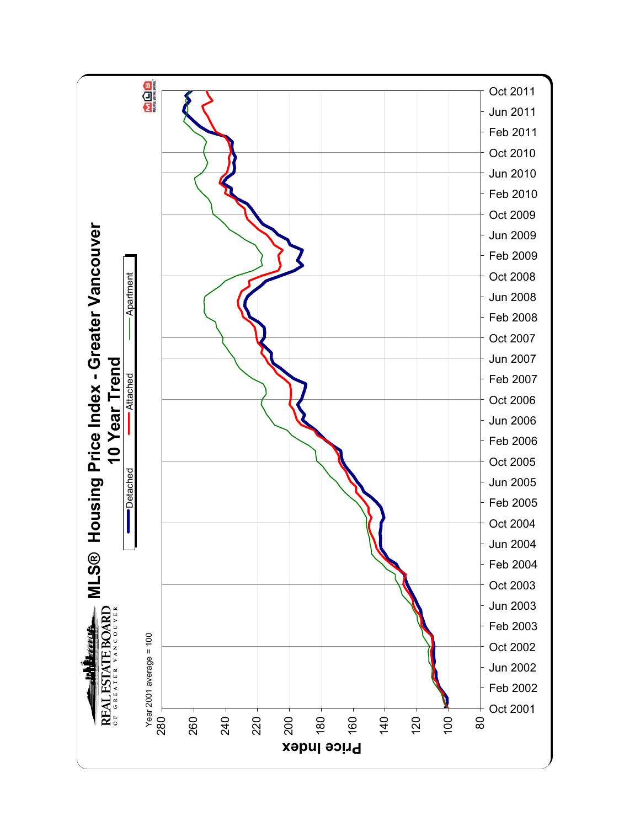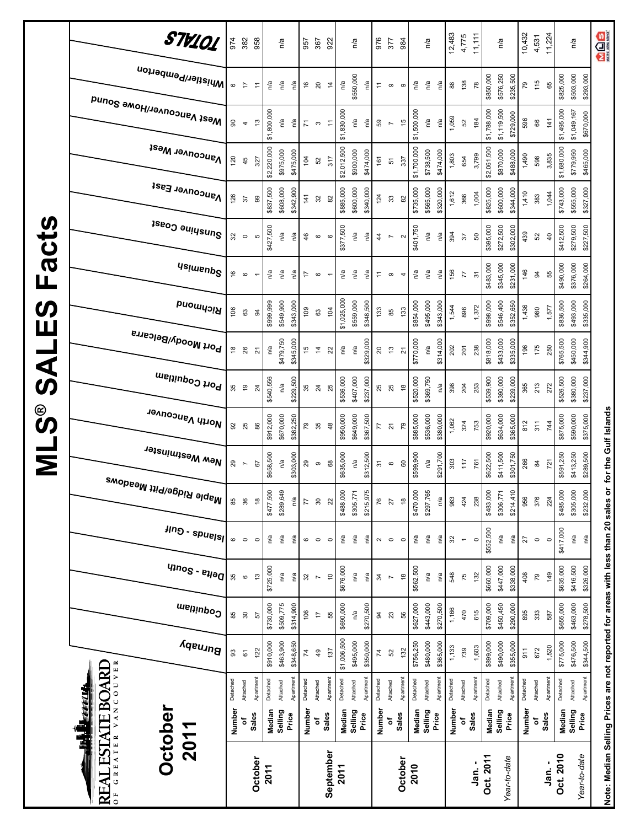|                              | STV101                                                                | 974              | 382                      | 958             |             | n/a              |           | 957          | 367                       | 922                  |             | n/a       |           | 976                                                 | 377                      | 984               |             | n/a         |           | 12,483   | 4,775                    | 11,111                      |                   | n/a                      | 10,432   | 4,531          | 11,224         |             | n/a                      | <b>QUARE</b>                                                                      |
|------------------------------|-----------------------------------------------------------------------|------------------|--------------------------|-----------------|-------------|------------------|-----------|--------------|---------------------------|----------------------|-------------|-----------|-----------|-----------------------------------------------------|--------------------------|-------------------|-------------|-------------|-----------|----------|--------------------------|-----------------------------|-------------------|--------------------------|----------|----------------|----------------|-------------|--------------------------|-----------------------------------------------------------------------------------|
|                              | i <sup>Whistler/Pemberton</sup><br>Mest Vancouver/Howe Sound          | $\mathbf{\circ}$ | $\overline{r}$           | $\tilde{t}$     | n/a         | n/a              | n/a       | 9            | $20\,$                    | $\ddot{4}$           | n/a         | \$550,000 | n/a       | $\stackrel{\scriptstyle\smile}{\scriptstyle\smile}$ | $\circ$                  | $\circ$           | n/a         | n/a         | n/a       | $_{88}$  | 138                      | \$850,000<br>78             |                   | \$576,250<br>\$235,500   | 79       | 115            | 89             | \$825,000   | \$503,000<br>\$293,000   |                                                                                   |
|                              |                                                                       | 8                | $\overline{\phantom{a}}$ | 13              | \$1,800,000 | n/a              | n/a       | 71           | $\mathfrak{S}$            | $\overline{\tau}$    | \$1,830,000 | n/a       | n/a       | ${\tt S}3$                                          | $\overline{\phantom{a}}$ | 46                | \$1,500,000 | n/a         | n/a       | 1,059    | 52                       | \$1,788,000<br>184          |                   | \$1,119,500<br>\$729,000 | 596      | $66\,$         | 141            | \$1,495,000 | \$1,049,167<br>\$670,000 |                                                                                   |
|                              | <b>Vancouver West</b>                                                 | 120              | 45                       | 327             | \$2,220,000 | \$975,000        | \$475,000 | 104          | 52                        | 317                  | \$2,012,500 | \$900,000 | \$474,000 | 161                                                 | 51                       | 337               | \$1,700,000 | \$738,500   | \$474,000 | 1,803    | 654                      | \$2,061,500<br>3,799        |                   | \$870,000<br>\$488,000   | 1,490    | 598            | 3,835          | \$1,680,000 | \$779,950<br>\$465,000   |                                                                                   |
|                              | Vancouver East                                                        | 126              | 57                       | 8               | \$837,500   | \$608,000        | \$342,900 | 141          | 32                        | 82                   | \$885,000   | \$600,000 | \$340,000 | 124                                                 | $\mathbbmss{3}$          | 82                | \$735,000   | \$565,000   | \$320,000 | 1,612    | 366                      | \$825,000<br>1,004          |                   | \$600,000<br>\$344,000   | 1,410    | 383            | 1,044          | \$743,000   | \$555,000<br>\$327,000   |                                                                                   |
| $\boldsymbol{\omega}$<br>act | Sunshine Coast                                                        | 32               | $\circ$                  | Ю               | \$427,500   | n/a              | n'a       | 46           | $\mathbf{\hat{o}}$        | $\mathbf{\circ}$     | \$377,500   | ηa        | n'a       | $\frac{4}{4}$                                       | $\overline{\phantom{a}}$ | $\mathbf{\Omega}$ | \$401,750   | η'a         | n/a       | 394      | 57                       | \$395,000<br>50             |                   | \$272,500<br>\$302,000   | 439      | 52             | $\overline{a}$ | \$412,500   | \$279,500<br>\$227,500   |                                                                                   |
| Щ                            | <b>Usimenp<sup>S</sup></b>                                            | 9                | $\mathbf{\circ}$         |                 | n/a         | n/a              | n/a       | 17           | $\circ$                   |                      | n/a         | n/a       | n/a       | $\stackrel{\scriptstyle\smile}{\scriptstyle\smile}$ | ၜ                        | 4                 | n/a         | n/a         | n/a       | 156      | 77                       | \$483,000<br>$\overline{3}$ |                   | \$345,000<br>\$231,000   | 146      | 94             | 55             | \$490,000   | \$376,000<br>\$264,000   |                                                                                   |
| $\boldsymbol{\omega}$<br>Ш   | Richmond                                                              | 106              | යි                       | æ               | \$999,999   | \$549,900        | \$343,000 | 109          | යි                        | 104                  | \$1,025,000 | \$559,000 | \$348,500 | 133                                                 | 85                       | 133               | \$854,000   | \$495,000   | \$343,000 | 1,544    | 896                      | \$998,000<br>1,372          |                   | \$546,400<br>\$352,650   | 1,436    | 980            | 1,577          | \$836,500   | \$493,000<br>\$335,000   |                                                                                   |
| $\overline{\phantom{a}}$     | Port Moody/Belcarra                                                   | $\frac{8}{3}$    | 26                       | 24              | n/a         | \$479,750        | \$345,000 | 45           | $\overline{4}$            | 22                   | n/a         | n/a       | \$329,000 | $\overline{\mathbf{S}}$                             | $\mathfrak{t}$           | 24                | \$770,000   | n/a         | \$314,000 | 202      | 201                      | \$818,000<br>238            |                   | \$433,000<br>\$335,000   | 196      | 175            | 250            | \$765,500   | \$450,000<br>\$344,900   |                                                                                   |
| てんの                          | Port Coquitlam                                                        | 35               | $\overline{9}$           | $\overline{24}$ | \$540,556   | n/a              | \$229,500 | 35           | $\overline{24}$           | 25                   | \$536,000   | \$407,000 | \$237,000 | 25                                                  | 25                       | $\frac{8}{2}$     | \$520,000   | \$369,750   | n/a       | 398      | 204                      | \$539,900<br>253            |                   | \$390,000<br>\$239,000   | 365      | 213            | 272            | \$526,500   | \$380,000<br>\$237,000   |                                                                                   |
| ို့<br>ဟ                     | North Vancouver                                                       | 92               | 25                       | 86              | \$912,000   | \$670,000        | \$382,250 | 52           | 35                        | 48                   | \$950,000   | \$649,000 | \$367,500 | 77                                                  | $\overline{\mathbf{2}}$  | 79                | \$885,000   | \$536,000   | \$380,000 | 1,062    | 324                      | \$920,000<br>753            |                   | \$634,000<br>\$365,000   | 812      | 311            | 744            | \$875,000   | \$590,000<br>\$375,000   |                                                                                   |
| Σ                            | New Westminster                                                       | 29               | $\overline{\phantom{a}}$ | 5               | \$658,500   | n/a              | \$303,000 | $_{29}$      | $\, \circ \,$             | $_{68}$              | \$635,000   | n/a       | \$312,500 | $\overline{5}$                                      | $\infty$                 | 60                | \$599,900   | n/a         | \$291,700 | 303      | 117                      | \$622,500<br>761            |                   | \$411,500<br>\$301,750   | 266      | $\frac{8}{4}$  | 721            | \$591,250   | \$413,250<br>\$289,500   |                                                                                   |
|                              | <sup>Maple Ridge/Pitt Meadows</sup>                                   | 85               | 36                       | $\frac{8}{1}$   | \$477,500   | \$289,649        | n/a       | 77           | $30\,$                    | $\approx$            | \$488,000   | \$305,771 | \$215,975 | 76                                                  | $\overline{27}$          | $\frac{8}{3}$     | \$470,000   | \$297,765   | n/a       | 983      | 424                      | \$483,000<br>238            |                   | \$214,410<br>\$306,771   | 956      | 376            | 224            | \$485,000   | \$305,000<br>\$232,000   |                                                                                   |
|                              | $\frac{2}{3}$ - spuels                                                | $\mathbf{\circ}$ | $\circ$                  | $\circ$         | Ρā          | Ρá               | ηá        | 6            | $\circ$                   | $\circ$              | n/a         | ηa        | ηá        | $\boldsymbol{\sim}$                                 | $\circ$                  | $\circ$           | n/a         | $\tilde{h}$ | ηa        | 32       | $\overline{\phantom{a}}$ | \$552,500<br>$\circ$        |                   | ηá<br>ηá                 | 27       | $\circ$        | $\circ$        | \$417,000   | ΡŅ<br>Ρá                 |                                                                                   |
|                              | $q_{100}$ s - $e_{110}$ q                                             | 35               | $\circ$                  | 13              | \$725,000   | n/a              | n/a       | $32\,$       | $\overline{\phantom{a}}$  | $\tilde{\mathsf{C}}$ | \$676,000   | n/a       | n/a       | $\frac{34}{3}$                                      | $\sim$                   | $\frac{8}{2}$     | \$562,500   | n/a         | n/a       | 548      | 75                       | \$660,000<br>132            |                   | \$447,000<br>\$338,000   | 408      | $\overline{5}$ | 149            | \$635,000   | \$416,500<br>\$326,000   |                                                                                   |
|                              | Coquitlam                                                             | 85               | $\approx$                | 57              | \$730,000   | \$509,775        | \$314,900 | 106          | $\overline{\overline{u}}$ | 55                   | \$690,000   | n/a       | \$270,500 | æ                                                   | $23\,$                   | S6                | \$627,000   | \$443,000   | \$270,500 | 1,166    | 470                      | \$709,000<br>615            |                   | \$450,450<br>\$290,000   | 895      | 333            | 587            | \$655,000   | \$463,000<br>\$278,500   |                                                                                   |
|                              | Burnaby                                                               | 93               | $\overline{6}$           | 122             | \$910,000   | \$463,900        | \$348,650 | $\mathbf{z}$ | 49                        | 137                  | \$1,006,500 | \$495,000 | \$350,000 | $\overline{74}$                                     | 52                       | 132               | \$756,250   | \$480,000   | \$365,000 | 1,133    | 739                      | \$899,000<br>1,603          |                   | \$490,000<br>\$355,000   | 911      | 672            | 1,520          | \$775,000   | \$476,500<br>\$344,500   | Note: Median Selling Prices are not reported for areas with less than 20 sales or |
|                              |                                                                       | Detached         | Attached                 | Apartment       | Detached    | Attached         | Apartment | Detached     | Attached                  | Apartment            | Detached    | Attached  | Apartment | Detached                                            | Attached                 | Apartmen          | Detached    | Attached    | Apartment | Detached | Attached                 | Apartment<br>Detached       | Attached          | Apartment                | Detached | Attached       | Apartment      | Detached    | Apartment<br>Attached    |                                                                                   |
|                              | <b>ESTATE BOARD</b><br><b>TAN HE</b>                                  | Number           | ٥f                       | <b>Sales</b>    | Median      | Selling<br>Price |           | Number       | ٥                         | Sales                | Median      | Selling   | Price     | Number                                              | č                        | Sales             | Median      | Selling     | Price     | Number   | Sales<br>٥               |                             | Median<br>Selling | Price                    | Number   | đ              | <b>Sales</b>   | Median      | Selling<br>Price         |                                                                                   |
|                              | GREATER VANCOUVER<br><b>Dctober</b><br>2011<br>REAT<br>$\overline{0}$ |                  |                          | October         | 2011        |                  |           |              |                           | September            | 2011        |           |           |                                                     |                          | October           | 2010        |             |           |          |                          | Oct. 2011<br>່.<br>ສຸ       |                   | Year-to-date             |          |                | ្ម<br>ភូ       | Oct. 2010   | Year-to-date             |                                                                                   |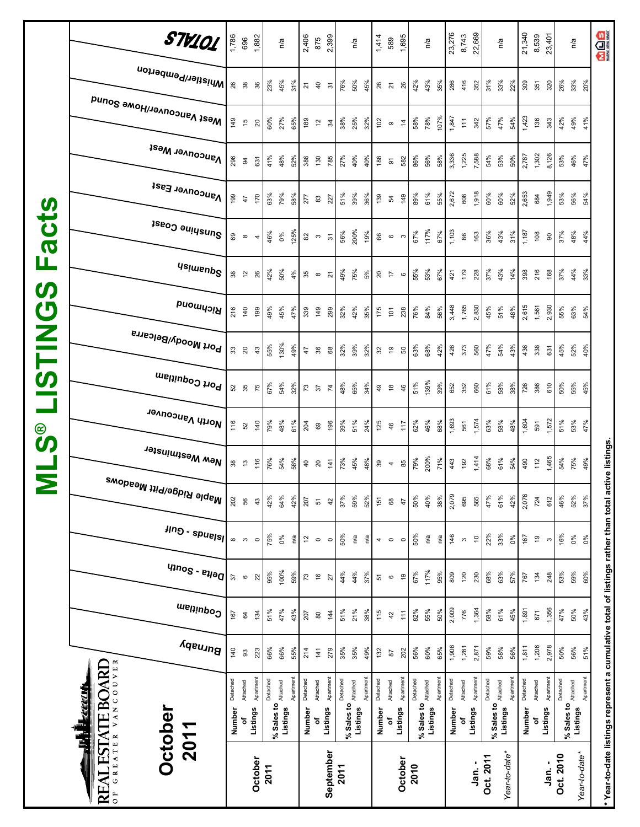| acts<br>Щ<br><b>SV</b><br>$\boldsymbol{\mathcal{O}}$<br><b>MILSI</b><br>$\circledast$<br><b>SV</b> | STV101<br> Whistler/Pemberton<br>Mest Vancouver/Howe Sound<br><b>Vancouver West</b><br>Vancouver East<br>Sunshine Coast<br><b>Usimenp<sup>S</sup></b><br>Richmond<br><sup>, Port Moody/Belcarra</sup><br>Port Coquitlam<br>North Vancouver<br>New Westminster | 1,786<br>149<br>296<br>199<br>216<br>116 | 696<br>26<br>38<br>15<br>94<br>47<br>စ<br>စ<br>$38^{0}$<br>140<br>330<br>52<br>35<br>52                                     | 1,882<br>36<br>20<br>631<br>170<br>$\overline{\mathbf{r}}$<br>26<br>199<br>$43$<br>75<br>140 | 23%<br>60%<br>41%<br>63%<br>46%<br>42%<br>49%<br>55%<br>67%<br>79% | n/a<br>45%<br>27%<br>48%<br>79%<br>0%<br>50%<br>45%<br>130%<br>54%<br>48%<br>54% | 31%<br>65%<br>52%<br>58%<br>125%<br>4%<br>47%<br>49%<br>32%<br>61% | 2,406<br>$\overline{z}$<br>189<br>386<br>277<br><b>ვე</b> თ<br>339<br>47<br>73<br>204 | 875<br>$\overline{4}$<br>$\tilde{5}$<br>130<br>$\mathbbm{S}$<br>82 n 5<br>149<br>36<br>$\epsilon$<br>69 | 2,399<br>$\overline{\mathfrak{c}}$<br>$\mathcal{L}$<br>785<br>227<br>$\overline{2}$<br>299<br>68<br>$\overline{7}$<br>196 | 76%<br>38%<br>27%<br>51%<br>56%<br>49%<br>32%<br>32%<br>48%<br>39% | n/a<br>50%<br>25%<br>40%<br>39%<br>200%<br>75%<br>42%<br>39%<br>65%<br>51% | 45%<br>32%<br>40%<br>36%<br>19%<br>5%<br>35%<br>32%<br>34%<br>24% | 1,414<br>$26$ $21$<br>102<br>188<br>139<br>66<br>$\overline{c}$<br>175<br>$\mathfrak{L}$<br>$\frac{9}{4}$<br>125 | 589<br>$\, \circ \,$<br>$\overline{\mathbf{5}}$<br>R,<br>$\mathbf \Omega$<br>$\overline{1}$<br>$\overline{5}$<br>$\tilde{\mathbf{e}}$<br>$\frac{8}{1}$<br>46 | 1,695<br>26<br>$\frac{4}{7}$<br>582<br>149<br>S<br>$\circ$<br>238<br>50<br>46<br>117 | 42%<br>58%<br>86%<br>89%<br>67%<br>55%<br>76%<br>63%<br>51%<br>62% | n/a<br>43%<br>78%<br>56%<br>61%<br>55%<br>117%<br>53%<br>67%<br>84%<br>68%<br>139%<br>39%<br>46%<br>200% | 23,276<br>35%<br>286<br>107%<br>1,847<br>3,336<br>58%<br>2,672<br>1,103<br>67%<br>421<br>3,448<br>56%<br>42%<br>426<br>652<br>1,693<br>68% | 8,743<br>416<br>$\widetilde{\div}$<br>1,225<br>608<br>86<br>179<br>1,765<br>373<br>352<br>561 | 22,669<br>352<br>342<br>7,588<br>1,918<br>163<br>228<br>2,830<br>560<br>660<br>1,574<br>1,414 | 31%<br>57%<br>54%<br>60%<br>36%<br>37%<br>45%<br>47%<br>61%<br>63% | n/a<br>33%<br>47%<br>53%<br>60%<br>43%<br>43%<br>51%<br>54%<br>58%<br>58% | 22%<br>54%<br>50%<br>52%<br>31%<br>14%<br>48%<br>43%<br>38%<br>48% | 21,340<br>309<br>1,423<br>2,787<br>2,653<br>1,187<br>398<br>2,615<br>436<br>726<br>1,604 | 8,539<br>351<br>136<br>1,302<br>684<br>108<br>216<br>1,561<br>338<br>386<br>591 | 23,401<br>320<br>343<br>8,126<br>1,949<br>$\mathsf{S}$<br>168<br>2,930<br>631<br>610<br>1,572<br>1,465 | 26%<br>42%<br>53%<br>53%<br>37%<br>37%<br>55%<br>45%<br>50%<br>51% | n/a<br>33%<br>49%<br>46%<br>56%<br>48%<br>44%<br>63%<br>52%<br>55%<br>53%<br>75% | 20%<br>41%<br>47%<br>54%<br>44%<br>33%<br>54%<br>40%<br>45%<br>47% |
|----------------------------------------------------------------------------------------------------|---------------------------------------------------------------------------------------------------------------------------------------------------------------------------------------------------------------------------------------------------------------|------------------------------------------|-----------------------------------------------------------------------------------------------------------------------------|----------------------------------------------------------------------------------------------|--------------------------------------------------------------------|----------------------------------------------------------------------------------|--------------------------------------------------------------------|---------------------------------------------------------------------------------------|---------------------------------------------------------------------------------------------------------|---------------------------------------------------------------------------------------------------------------------------|--------------------------------------------------------------------|----------------------------------------------------------------------------|-------------------------------------------------------------------|------------------------------------------------------------------------------------------------------------------|--------------------------------------------------------------------------------------------------------------------------------------------------------------|--------------------------------------------------------------------------------------|--------------------------------------------------------------------|----------------------------------------------------------------------------------------------------------|--------------------------------------------------------------------------------------------------------------------------------------------|-----------------------------------------------------------------------------------------------|-----------------------------------------------------------------------------------------------|--------------------------------------------------------------------|---------------------------------------------------------------------------|--------------------------------------------------------------------|------------------------------------------------------------------------------------------|---------------------------------------------------------------------------------|--------------------------------------------------------------------------------------------------------|--------------------------------------------------------------------|----------------------------------------------------------------------------------|--------------------------------------------------------------------|
| Σ                                                                                                  | , <sup>Maple Ridge/Pitt Meadows</sup><br><b>HID</b> - spuelsl<br>q                                                                                                                                                                                            | 202<br>$\infty$<br>57                    | 56<br>ო<br>$\mathbf \circ$                                                                                                  | 43<br>$\circ$<br>22                                                                          | 42%<br>75%<br>95%                                                  | 64%<br>0%<br>100%                                                                | 42%<br>ΡŅ<br>59%                                                   | 207<br>$\overline{5}$<br>73                                                           | $\!5$<br>$\circ$<br>$\overline{\mathsf{e}}$                                                             | 42<br>$\circ$<br>27                                                                                                       | 37%<br>50%<br>44%                                                  | 59%<br>n'a<br>44%                                                          | 52%<br>η'a<br>37%                                                 | 151<br>$4^\circ$<br>51                                                                                           | $^{\rm 68}$<br>$\mathbf{\circ}$                                                                                                                              | 47<br>$\circ$<br>ę,                                                                  | 50%<br>50%<br>67%                                                  | 40%<br>η'a<br>117%<br>95%                                                                                | 2,079<br>38%<br>146<br>n/a<br>809                                                                                                          | 695<br>$\boldsymbol{\mathsf{c}}$<br>120                                                       | 565<br>$\tilde{c}$<br>230                                                                     | 47%<br>22%<br>68%                                                  | 61%<br>33%<br>63%                                                         | 42%<br>$0\%$<br>57%                                                | 2,076<br>167<br>767                                                                      | 724<br>$\overline{9}$<br>134                                                    | 612<br>$\mathfrak{S}$<br>248                                                                           | 46%<br>16%<br>53%                                                  | 52%<br>$0\%$<br>59%                                                              | 37%<br>$\delta_{\rm 0}$<br>60%                                     |
|                                                                                                    | Coquitlam<br>Burnaby                                                                                                                                                                                                                                          | 167                                      | $\mathfrak{A}% _{T}=\mathfrak{B}_{T}\!\left( a,b\right) ,\ \mathfrak{C}_{T}=C_{T}\!\left( a,b\right) , \label{eq-qt:cong}%$ | 134                                                                                          | 51%                                                                | 47%                                                                              | 43%                                                                | 207                                                                                   | $\pmb{\mathbb{S}}$                                                                                      | 144                                                                                                                       | 51%                                                                | 21%                                                                        | 38%                                                               | 115                                                                                                              | $42\,$                                                                                                                                                       | 111                                                                                  | 82%                                                                | 55%                                                                                                      | 2,009<br>50%                                                                                                                               | 776                                                                                           | 1,364                                                                                         | 58%                                                                | 61%                                                                       | 45%                                                                | 1,891                                                                                    | 671                                                                             | 1,356                                                                                                  | 47%                                                                | 50%                                                                              | 43%                                                                |
|                                                                                                    | OF GREATER VANCOUVER<br>REAL ESTATE BOARD<br><b>TAR TE</b><br><b>Dctober</b><br>2011                                                                                                                                                                          | 140<br>Detached<br>Number                | 93<br>Attached<br>৳                                                                                                         | 223<br>Apartment<br><b>Listings</b><br>October                                               | 66%<br>Detached<br>2011                                            | 66%<br>% Sales to Attached<br>Listings                                           | 55%<br>Apartment                                                   | 214<br>Detached<br>Number                                                             | $\frac{14}{1}$<br>Attached<br>۵Ļ                                                                        | 279<br>Apartment<br>Listings<br>September                                                                                 | 35%<br>Detached<br>2011                                            | 35%<br>% Sales to Attached<br>Listings                                     | 49%<br>Apartment                                                  | 132<br>Detached<br>Number                                                                                        | $\sqrt{8}$<br>Attached<br>Listings<br>۵f                                                                                                                     | 202<br>Apartment<br>October                                                          | 56%<br>Detached<br>% Sales to Attached<br>2010                     | 60%<br>Apartment<br>Listings                                                                             | 1,906<br>65%<br>Detached<br>Number                                                                                                         | 1,281<br>Attached<br>đ                                                                        | 2,871<br>Apartment<br>Listings<br>Jan. -                                                      | 59%<br>Detached<br>Oct. 2011                                       | 58%<br>% Sales to $_{\text{Atached}}$<br>Listings                         | 56%<br>Apartment<br>Year-to-date                                   | 1,811<br>Detached<br>Number                                                              | 1,206<br>Attached                                                               | 2,978<br>Apartment<br>Listings<br>Jan. -                                                               | 50%<br>Detached<br>Oct. 2010                                       | 56%<br>% Sales to Attached<br>Listings                                           | 51%<br>Apartment<br>Year-to-date*                                  |

**\* Year-to-date listings represent a cumulative total of listings rather than total active listings.**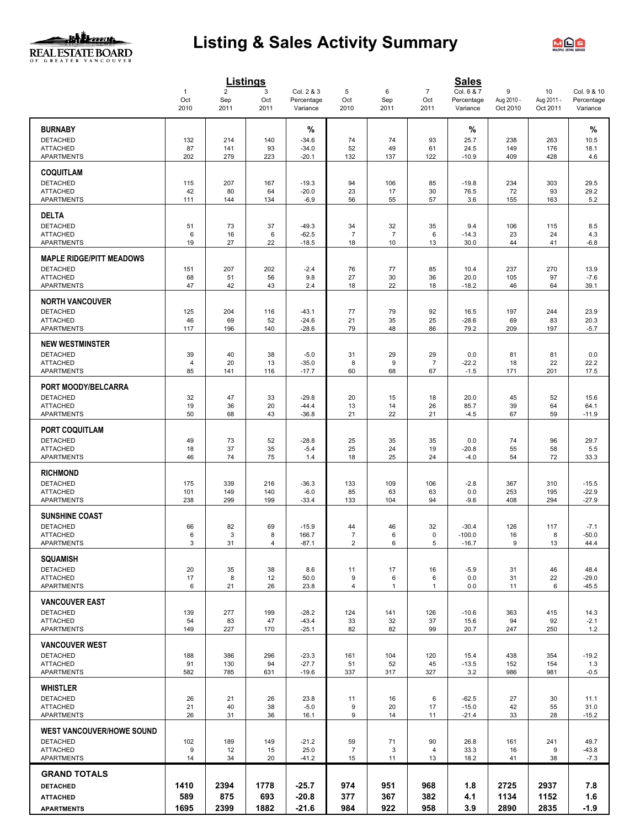#### **JALI** 2007 LAN REAL ESTATE BOARD

## **Listing & Sales Activity Summary**



|                                      |                             |                               | <b>Listings</b>  |                                      |                      |                      |                               | <b>Sales</b>                         |                             |                              |                                       |
|--------------------------------------|-----------------------------|-------------------------------|------------------|--------------------------------------|----------------------|----------------------|-------------------------------|--------------------------------------|-----------------------------|------------------------------|---------------------------------------|
|                                      | $\mathbf{1}$<br>Oct<br>2010 | $\overline{2}$<br>Sep<br>2011 | 3<br>Oct<br>2011 | Col. 2 & 3<br>Percentage<br>Variance | 5<br>Oct<br>2010     | 6<br>Sep<br>2011     | $\overline{7}$<br>Oct<br>2011 | Col. 6 & 7<br>Percentage<br>Variance | 9<br>Aug 2010 -<br>Oct 2010 | 10<br>Aug 2011 -<br>Oct 2011 | Col. 9 & 10<br>Percentage<br>Variance |
|                                      |                             |                               |                  |                                      |                      |                      |                               |                                      |                             |                              |                                       |
| <b>BURNABY</b>                       |                             |                               |                  | %                                    |                      |                      |                               | %                                    |                             |                              | %                                     |
| <b>DETACHED</b><br><b>ATTACHED</b>   | 132<br>87                   | 214<br>141                    | 140<br>93        | $-34.6$<br>$-34.0$                   | 74<br>52             | 74<br>49             | 93<br>61                      | 25.7<br>24.5                         | 238<br>149                  | 263<br>176                   | 10.5<br>18.1                          |
| <b>APARTMENTS</b>                    | 202                         | 279                           | 223              | $-20.1$                              | 132                  | 137                  | 122                           | $-10.9$                              | 409                         | 428                          | 4.6                                   |
| <b>COQUITLAM</b>                     |                             |                               |                  |                                      |                      |                      |                               |                                      |                             |                              |                                       |
| <b>DETACHED</b>                      | 115                         | 207                           | 167              | $-19.3$                              | 94                   | 106                  | 85                            | $-19.8$                              | 234                         | 303                          | 29.5                                  |
| <b>ATTACHED</b><br><b>APARTMENTS</b> | 42                          | 80                            | 64               | $-20.0$                              | 23                   | 17                   | 30                            | 76.5                                 | 72                          | 93                           | 29.2                                  |
|                                      | 111                         | 144                           | 134              | $-6.9$                               | 56                   | 55                   | 57                            | 3.6                                  | 155                         | 163                          | 5.2                                   |
| <b>DELTA</b>                         |                             |                               |                  |                                      |                      |                      |                               |                                      |                             |                              |                                       |
| <b>DETACHED</b><br><b>ATTACHED</b>   | 51<br>6                     | 73<br>16                      | 37<br>6          | $-49.3$<br>$-62.5$                   | 34<br>$\overline{7}$ | 32<br>$\overline{7}$ | 35<br>6                       | 9.4<br>$-14.3$                       | 106<br>23                   | 115<br>24                    | 8.5<br>4.3                            |
| <b>APARTMENTS</b>                    | 19                          | 27                            | 22               | $-18.5$                              | 18                   | 10                   | 13                            | 30.0                                 | 44                          | 41                           | $-6.8$                                |
| <b>MAPLE RIDGE/PITT MEADOWS</b>      |                             |                               |                  |                                      |                      |                      |                               |                                      |                             |                              |                                       |
| <b>DETACHED</b>                      | 151                         | 207                           | 202              | $-2.4$                               | 76                   | 77                   | 85                            | 10.4                                 | 237                         | 270                          | 13.9                                  |
| <b>ATTACHED</b>                      | 68                          | 51                            | 56               | 9.8                                  | 27                   | 30                   | 36                            | 20.0                                 | 105                         | 97                           | $-7.6$                                |
| <b>APARTMENTS</b>                    | 47                          | 42                            | 43               | 2.4                                  | 18                   | 22                   | 18                            | $-18.2$                              | 46                          | 64                           | 39.1                                  |
| <b>NORTH VANCOUVER</b>               |                             |                               |                  |                                      |                      |                      |                               |                                      |                             |                              |                                       |
| <b>DETACHED</b>                      | 125                         | 204                           | 116              | $-43.1$                              | 77                   | 79                   | 92                            | 16.5                                 | 197                         | 244                          | 23.9                                  |
| <b>ATTACHED</b><br><b>APARTMENTS</b> | 46<br>117                   | 69<br>196                     | 52<br>140        | $-24.6$<br>$-28.6$                   | 21<br>79             | 35<br>48             | 25<br>86                      | $-28.6$<br>79.2                      | 69<br>209                   | 83<br>197                    | 20.3<br>$-5.7$                        |
| <b>NEW WESTMINSTER</b>               |                             |                               |                  |                                      |                      |                      |                               |                                      |                             |                              |                                       |
| <b>DETACHED</b>                      | 39                          | 40                            | 38               | $-5.0$                               | 31                   | 29                   | 29                            | 0.0                                  | 81                          | 81                           | 0.0                                   |
| <b>ATTACHED</b>                      | $\overline{4}$              | 20                            | 13               | $-35.0$                              | 8                    | 9                    | $\overline{7}$                | $-22.2$                              | 18                          | 22                           | 22.2                                  |
| APARTMENTS                           | 85                          | 141                           | 116              | $-17.7$                              | 60                   | 68                   | 67                            | $-1.5$                               | 171                         | 201                          | 17.5                                  |
| PORT MOODY/BELCARRA                  |                             |                               |                  |                                      |                      |                      |                               |                                      |                             |                              |                                       |
| <b>DETACHED</b>                      | 32                          | 47                            | 33               | $-29.8$                              | 20                   | 15                   | 18                            | 20.0                                 | 45                          | 52                           | 15.6                                  |
| <b>ATTACHED</b><br><b>APARTMENTS</b> | 19<br>50                    | 36<br>68                      | 20<br>43         | $-44.4$<br>$-36.8$                   | 13<br>21             | 14<br>22             | 26<br>21                      | 85.7<br>$-4.5$                       | 39<br>67                    | 64<br>59                     | 64.1<br>$-11.9$                       |
|                                      |                             |                               |                  |                                      |                      |                      |                               |                                      |                             |                              |                                       |
| <b>PORT COQUITLAM</b>                |                             |                               |                  |                                      |                      |                      |                               |                                      |                             |                              |                                       |
| <b>DETACHED</b><br><b>ATTACHED</b>   | 49<br>18                    | 73<br>37                      | 52<br>35         | $-28.8$<br>$-5.4$                    | 25<br>25             | 35<br>24             | 35<br>19                      | 0.0<br>$-20.8$                       | 74<br>55                    | 96<br>58                     | 29.7<br>5.5                           |
| <b>APARTMENTS</b>                    | 46                          | 74                            | 75               | 1.4                                  | 18                   | 25                   | 24                            | $-4.0$                               | 54                          | 72                           | 33.3                                  |
| <b>RICHMOND</b>                      |                             |                               |                  |                                      |                      |                      |                               |                                      |                             |                              |                                       |
| <b>DETACHED</b>                      | 175                         | 339                           | 216              | $-36.3$                              | 133                  | 109                  | 106                           | $-2.8$                               | 367                         | 310                          | $-15.5$                               |
| <b>ATTACHED</b>                      | 101                         | 149                           | 140              | $-6.0$                               | 85                   | 63                   | 63                            | 0.0                                  | 253                         | 195                          | $-22.9$                               |
| APARTMENTS                           | 238                         | 299                           | 199              | $-33.4$                              | 133                  | 104                  | 94                            | $-9.6$                               | 408                         | 294                          | $-27.9$                               |
| <b>SUNSHINE COAST</b>                |                             |                               |                  |                                      |                      |                      |                               |                                      |                             |                              |                                       |
| <b>DETACHED</b><br><b>ATTACHED</b>   | 66<br>6                     | 82<br>3                       | 69<br>8          | $-15.9$<br>166.7                     | 44<br>$\overline{7}$ | 46<br>6              | 32<br>0                       | $-30.4$<br>$-100.0$                  | 126<br>16                   | 117<br>8                     | $-7.1$<br>$-50.0$                     |
| <b>APARTMENTS</b>                    | 3                           | 31                            | 4                | $-87.1$                              | 2                    | 6                    | 5                             | $-16.7$                              | 9                           | 13                           | 44.4                                  |
| <b>SQUAMISH</b>                      |                             |                               |                  |                                      |                      |                      |                               |                                      |                             |                              |                                       |
| <b>DETACHED</b>                      | 20                          | 35                            | 38               | 8.6                                  | 11                   | 17                   | 16                            | $-5.9$                               | 31                          | 46                           | 48.4                                  |
| <b>ATTACHED</b>                      | 17                          | 8                             | 12               | 50.0                                 | 9                    | 6                    | 6                             | 0.0                                  | 31                          | 22                           | $-29.0$                               |
| <b>APARTMENTS</b>                    | 6                           | 21                            | 26               | 23.8                                 | 4                    | $\mathbf{1}$         | $\mathbf{1}$                  | 0.0                                  | 11                          | 6                            | $-45.5$                               |
| <b>VANCOUVER EAST</b>                |                             |                               |                  |                                      |                      |                      |                               |                                      |                             |                              |                                       |
| <b>DETACHED</b><br><b>ATTACHED</b>   | 139<br>54                   | 277<br>83                     | 199<br>47        | $-28.2$<br>$-43.4$                   | 124<br>33            | 141<br>32            | 126                           | $-10.6$<br>15.6                      | 363<br>94                   | 415<br>92                    | 14.3                                  |
| <b>APARTMENTS</b>                    | 149                         | 227                           | 170              | $-25.1$                              | 82                   | 82                   | 37<br>99                      | 20.7                                 | 247                         | 250                          | $-2.1$<br>1.2                         |
| <b>VANCOUVER WEST</b>                |                             |                               |                  |                                      |                      |                      |                               |                                      |                             |                              |                                       |
| <b>DETACHED</b>                      | 188                         | 386                           | 296              | $-23.3$                              | 161                  | 104                  | 120                           | 15.4                                 | 438                         | 354                          | $-19.2$                               |
| <b>ATTACHED</b>                      | 91                          | 130                           | 94               | $-27.7$                              | 51                   | 52                   | 45                            | $-13.5$                              | 152                         | 154                          | 1.3                                   |
| <b>APARTMENTS</b>                    | 582                         | 785                           | 631              | $-19.6$                              | 337                  | 317                  | 327                           | 3.2                                  | 986                         | 981                          | $-0.5$                                |
| <b>WHISTLER</b>                      |                             |                               |                  |                                      |                      |                      |                               |                                      |                             |                              |                                       |
| <b>DETACHED</b>                      | 26                          | 21                            | 26               | 23.8                                 | 11                   | 16                   | 6                             | $-62.5$                              | 27                          | 30                           | 11.1                                  |
| <b>ATTACHED</b><br><b>APARTMENTS</b> | 21<br>26                    | 40<br>31                      | 38<br>36         | $-5.0$<br>16.1                       | 9<br>9               | 20<br>14             | 17<br>11                      | $-15.0$<br>$-21.4$                   | 42<br>33                    | 55<br>28                     | 31.0<br>$-15.2$                       |
| <b>WEST VANCOUVER/HOWE SOUND</b>     |                             |                               |                  |                                      |                      |                      |                               |                                      |                             |                              |                                       |
| <b>DETACHED</b>                      | 102                         | 189                           | 149              | $-21.2$                              | 59                   | 71                   | 90                            | 26.8                                 | 161                         | 241                          | 49.7                                  |
| <b>ATTACHED</b>                      | 9                           | 12                            | 15               | 25.0                                 | $\overline{7}$       | 3                    | 4                             | 33.3                                 | 16                          | 9                            | $-43.8$                               |
| <b>APARTMENTS</b>                    | 14                          | 34                            | 20               | $-41.2$                              | 15                   | 11                   | 13                            | 18.2                                 | 41                          | 38                           | $-7.3$                                |
| <b>GRAND TOTALS</b>                  |                             |                               |                  |                                      |                      |                      |                               |                                      |                             |                              |                                       |
| <b>DETACHED</b>                      | 1410                        | 2394                          | 1778             | $-25.7$                              | 974                  | 951                  | 968                           | 1.8                                  | 2725                        | 2937                         | 7.8                                   |
| <b>ATTACHED</b>                      | 589                         | 875                           | 693              | $-20.8$                              | 377                  | 367                  | 382                           | 4.1                                  | 1134                        | 1152                         | 1.6                                   |
| <b>APARTMENTS</b>                    | 1695                        | 2399                          | 1882             | $-21.6$                              | 984                  | 922                  | 958                           | 3.9                                  | 2890                        | 2835                         | $-1.9$                                |